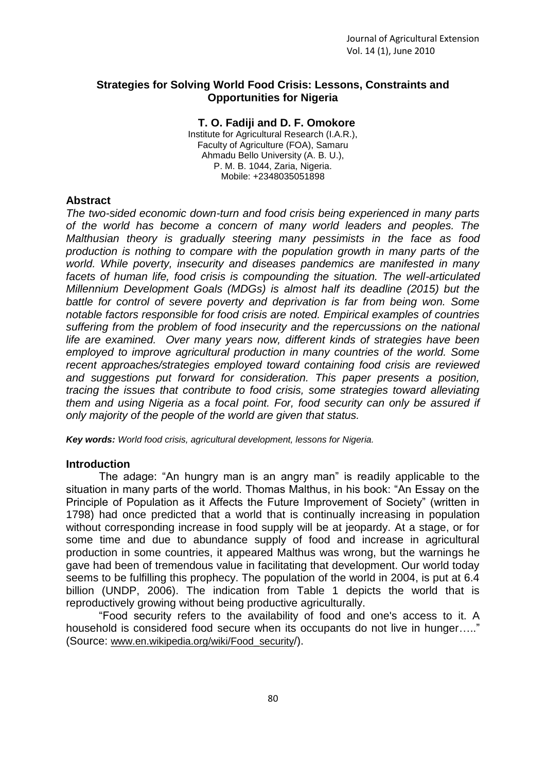# **Strategies for Solving World Food Crisis: Lessons, Constraints and Opportunities for Nigeria**

#### **T. O. Fadiji and D. F. Omokore**

Institute for Agricultural Research (I.A.R.), Faculty of Agriculture (FOA), Samaru Ahmadu Bello University (A. B. U.), P. M. B. 1044, Zaria, Nigeria. Mobile: +2348035051898

## **Abstract**

*The two-sided economic down-turn and food crisis being experienced in many parts of the world has become a concern of many world leaders and peoples. The Malthusian theory is gradually steering many pessimists in the face as food production is nothing to compare with the population growth in many parts of the world. While poverty, insecurity and diseases pandemics are manifested in many facets of human life, food crisis is compounding the situation. The well-articulated Millennium Development Goals (MDGs) is almost half its deadline (2015) but the*  battle for control of severe poverty and deprivation is far from being won. Some *notable factors responsible for food crisis are noted. Empirical examples of countries suffering from the problem of food insecurity and the repercussions on the national life are examined. Over many years now, different kinds of strategies have been employed to improve agricultural production in many countries of the world. Some recent approaches/strategies employed toward containing food crisis are reviewed and suggestions put forward for consideration. This paper presents a position, tracing the issues that contribute to food crisis, some strategies toward alleviating them and using Nigeria as a focal point. For, food security can only be assured if only majority of the people of the world are given that status.*

*Key words: World food crisis, agricultural development, lessons for Nigeria.* 

## **Introduction**

The adage: "An hungry man is an angry man" is readily applicable to the situation in many parts of the world. Thomas Malthus, in his book: "An Essay on the Principle of Population as it Affects the Future Improvement of Society" (written in 1798) had once predicted that a world that is continually increasing in population without corresponding increase in food supply will be at jeopardy. At a stage, or for some time and due to abundance supply of food and increase in agricultural production in some countries, it appeared Malthus was wrong, but the warnings he gave had been of tremendous value in facilitating that development. Our world today seems to be fulfilling this prophecy. The population of the world in 2004, is put at 6.4 billion (UNDP, 2006). The indication from Table 1 depicts the world that is reproductively growing without being productive agriculturally.

―Food security refers to the availability of food and one's access to it. A household is considered food secure when its occupants do not live in hunger....." (Source: [www.en.wikipedia.org/wiki/Food\\_security](http://www.en.wikipedia.org/wiki/Food_security)/).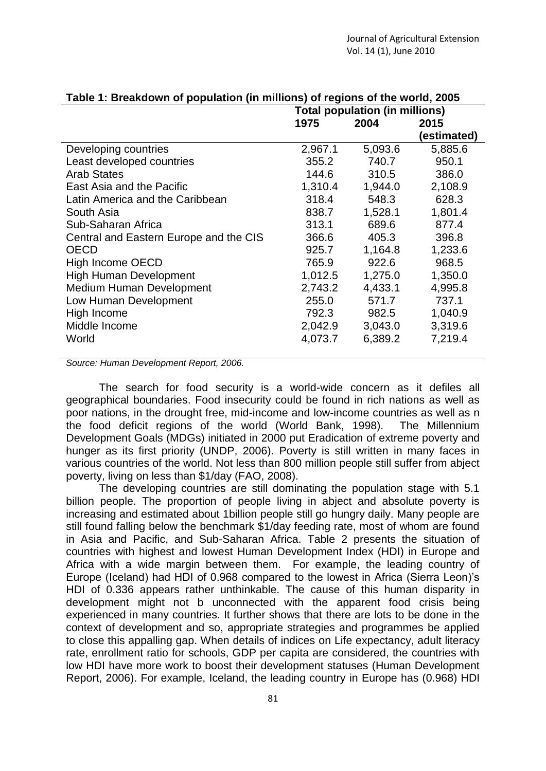| <b>. applies to provide the computation of the computer of the computer of the motion evolution</b> |                                       |         |             |  |  |  |  |
|-----------------------------------------------------------------------------------------------------|---------------------------------------|---------|-------------|--|--|--|--|
|                                                                                                     | <b>Total population (in millions)</b> |         |             |  |  |  |  |
|                                                                                                     | 1975                                  | 2004    | 2015        |  |  |  |  |
|                                                                                                     |                                       |         | (estimated) |  |  |  |  |
| Developing countries                                                                                | 2,967.1                               | 5,093.6 | 5,885.6     |  |  |  |  |
| Least developed countries                                                                           | 355.2                                 | 740.7   | 950.1       |  |  |  |  |
| <b>Arab States</b>                                                                                  | 144.6                                 | 310.5   | 386.0       |  |  |  |  |
| East Asia and the Pacific                                                                           | 1,310.4                               | 1,944.0 | 2,108.9     |  |  |  |  |
| Latin America and the Caribbean                                                                     | 318.4                                 | 548.3   | 628.3       |  |  |  |  |
| South Asia                                                                                          | 838.7                                 | 1,528.1 | 1,801.4     |  |  |  |  |
| Sub-Saharan Africa                                                                                  | 313.1                                 | 689.6   | 877.4       |  |  |  |  |
| Central and Eastern Europe and the CIS                                                              | 366.6                                 | 405.3   | 396.8       |  |  |  |  |
| <b>OECD</b>                                                                                         | 925.7                                 | 1,164.8 | 1,233.6     |  |  |  |  |
| High Income OECD                                                                                    | 765.9                                 | 922.6   | 968.5       |  |  |  |  |
| <b>High Human Development</b>                                                                       | 1,012.5                               | 1,275.0 | 1,350.0     |  |  |  |  |
| Medium Human Development                                                                            | 2,743.2                               | 4,433.1 | 4,995.8     |  |  |  |  |
| Low Human Development                                                                               | 255.0                                 | 571.7   | 737.1       |  |  |  |  |
| High Income                                                                                         | 792.3                                 | 982.5   | 1,040.9     |  |  |  |  |
| Middle Income                                                                                       | 2,042.9                               | 3,043.0 | 3,319.6     |  |  |  |  |
| World                                                                                               | 4,073.7                               | 6,389.2 | 7,219.4     |  |  |  |  |
|                                                                                                     |                                       |         |             |  |  |  |  |

# **Table 1: Breakdown of population (in millions) of regions of the world, 2005**

*Source: Human Development Report, 2006.*

The search for food security is a world-wide concern as it defiles all geographical boundaries. Food insecurity could be found in rich nations as well as poor nations, in the drought free, mid-income and low-income countries as well as n the food deficit regions of the world (World Bank, 1998). The Millennium Development Goals (MDGs) initiated in 2000 put Eradication of extreme poverty and hunger as its first priority (UNDP, 2006). Poverty is still written in many faces in various countries of the world. Not less than 800 million people still suffer from abject poverty, living on less than \$1/day (FAO, 2008).

The developing countries are still dominating the population stage with 5.1 billion people. The proportion of people living in abject and absolute poverty is increasing and estimated about 1billion people still go hungry daily. Many people are still found falling below the benchmark \$1/day feeding rate, most of whom are found in Asia and Pacific, and Sub-Saharan Africa. Table 2 presents the situation of countries with highest and lowest Human Development Index (HDI) in Europe and Africa with a wide margin between them. For example, the leading country of Europe (Iceland) had HDI of 0.968 compared to the lowest in Africa (Sierra Leon)'s HDI of 0.336 appears rather unthinkable. The cause of this human disparity in development might not b unconnected with the apparent food crisis being experienced in many countries. It further shows that there are lots to be done in the context of development and so, appropriate strategies and programmes be applied to close this appalling gap. When details of indices on Life expectancy, adult literacy rate, enrollment ratio for schools, GDP per capita are considered, the countries with low HDI have more work to boost their development statuses (Human Development Report, 2006). For example, Iceland, the leading country in Europe has (0.968) HDI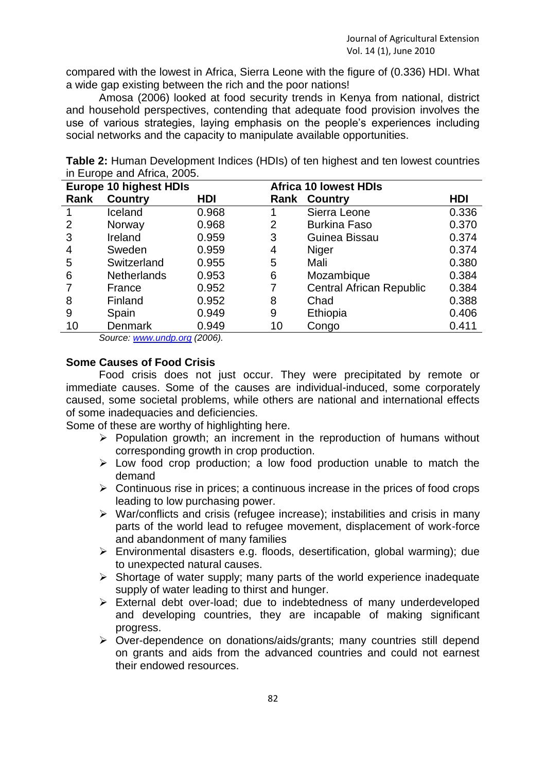compared with the lowest in Africa, Sierra Leone with the figure of (0.336) HDI. What a wide gap existing between the rich and the poor nations!

Amosa (2006) looked at food security trends in Kenya from national, district and household perspectives, contending that adequate food provision involves the use of various strategies, laying emphasis on the people's experiences including social networks and the capacity to manipulate available opportunities.

**Table 2:** Human Development Indices (HDIs) of ten highest and ten lowest countries in Europe and Africa, 2005.

| <b>Europe 10 highest HDIs</b> |                    |            | <b>Africa 10 lowest HDIs</b> |                                 |            |  |
|-------------------------------|--------------------|------------|------------------------------|---------------------------------|------------|--|
| Rank                          | <b>Country</b>     | <b>HDI</b> | Rank                         | <b>Country</b>                  | <b>HDI</b> |  |
|                               | Iceland            | 0.968      |                              | Sierra Leone                    | 0.336      |  |
| 2                             | Norway             | 0.968      | 2                            | <b>Burkina Faso</b>             | 0.370      |  |
| 3                             | Ireland            | 0.959      | 3                            | Guinea Bissau                   | 0.374      |  |
| 4                             | Sweden             | 0.959      | 4                            | Niger                           | 0.374      |  |
| 5                             | Switzerland        | 0.955      | 5                            | Mali                            | 0.380      |  |
| 6                             | <b>Netherlands</b> | 0.953      | 6                            | Mozambique                      | 0.384      |  |
|                               | France             | 0.952      | 7                            | <b>Central African Republic</b> | 0.384      |  |
| 8                             | Finland            | 0.952      | 8                            | Chad                            | 0.388      |  |
| 9                             | Spain              | 0.949      | 9                            | Ethiopia                        | 0.406      |  |
| 10                            | Denmark            | 0.949      | 10                           | Congo                           | 0.411      |  |

*Source: [www.undp.org](http://www.undp.org/) (2006).*

## **Some Causes of Food Crisis**

Food crisis does not just occur. They were precipitated by remote or immediate causes. Some of the causes are individual-induced, some corporately caused, some societal problems, while others are national and international effects of some inadequacies and deficiencies.

Some of these are worthy of highlighting here.

- $\triangleright$  Population growth; an increment in the reproduction of humans without corresponding growth in crop production.
- $\triangleright$  Low food crop production; a low food production unable to match the demand
- $\triangleright$  Continuous rise in prices; a continuous increase in the prices of food crops leading to low purchasing power.
- $\triangleright$  War/conflicts and crisis (refugee increase); instabilities and crisis in many parts of the world lead to refugee movement, displacement of work-force and abandonment of many families
- Environmental disasters e.g. floods, desertification, global warming); due to unexpected natural causes.
- $\triangleright$  Shortage of water supply; many parts of the world experience inadequate supply of water leading to thirst and hunger.
- External debt over-load; due to indebtedness of many underdeveloped and developing countries, they are incapable of making significant progress.
- Over-dependence on donations/aids/grants; many countries still depend on grants and aids from the advanced countries and could not earnest their endowed resources.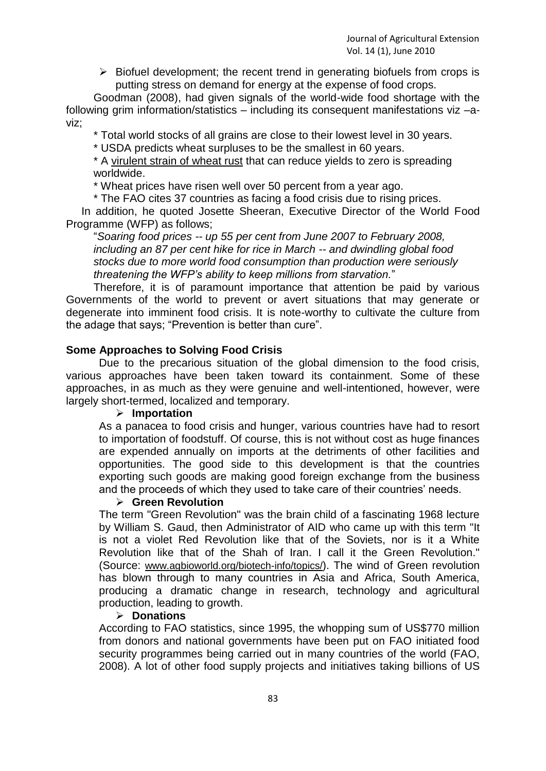$\triangleright$  Biofuel development; the recent trend in generating biofuels from crops is putting stress on demand for energy at the expense of food crops.

Goodman (2008), had given signals of the world-wide food shortage with the following grim information/statistics – including its consequent manifestations viz –aviz;

\* Total world stocks of all grains are close to their lowest level in 30 years.

\* USDA predicts wheat surpluses to be the smallest in 60 years.

\* A [virulent strain of wheat rust](http://newsformormons.com/2008/03/17/dangerous-wheat-killing-fungus-detected-in-iran-â) that can reduce yields to zero is spreading worldwide.

\* Wheat prices have risen well over 50 percent from a year ago.

\* The FAO cites 37 countries as facing a food crisis due to rising prices.

 In addition, he quoted Josette Sheeran, Executive Director of the World Food Programme (WFP) as follows;

―*Soaring food prices -- up 55 per cent from June 2007 to February 2008, including an 87 per cent hike for rice in March -- and dwindling global food stocks due to more world food consumption than production were seriously threatening the WFP's ability to keep millions from starvation.*‖

Therefore, it is of paramount importance that attention be paid by various Governments of the world to prevent or avert situations that may generate or degenerate into imminent food crisis. It is note-worthy to cultivate the culture from the adage that says; "Prevention is better than cure".

## **Some Approaches to Solving Food Crisis**

Due to the precarious situation of the global dimension to the food crisis, various approaches have been taken toward its containment. Some of these approaches, in as much as they were genuine and well-intentioned, however, were largely short-termed, localized and temporary.

## **Importation**

As a panacea to food crisis and hunger, various countries have had to resort to importation of foodstuff. Of course, this is not without cost as huge finances are expended annually on imports at the detriments of other facilities and opportunities. The good side to this development is that the countries exporting such goods are making good foreign exchange from the business and the proceeds of which they used to take care of their countries' needs.

## **Green Revolution**

The term "Green Revolution" was the brain child of a fascinating 1968 lecture by William S. Gaud, then Administrator of AID who came up with this term "It is not a violet Red Revolution like that of the Soviets, nor is it a White Revolution like that of the Shah of Iran. I call it the Green Revolution." (Source: [www.agbioworld.org/biotech-info/topics/](http://www.agbioworld.org/biotech-info/topics/)). The wind of Green revolution has blown through to many countries in Asia and Africa, South America, producing a dramatic change in research, technology and agricultural production, leading to growth.

## **Donations**

According to FAO statistics, since 1995, the whopping sum of US\$770 million from donors and national governments have been put on FAO initiated food security programmes being carried out in many countries of the world (FAO, 2008). A lot of other food supply projects and initiatives taking billions of US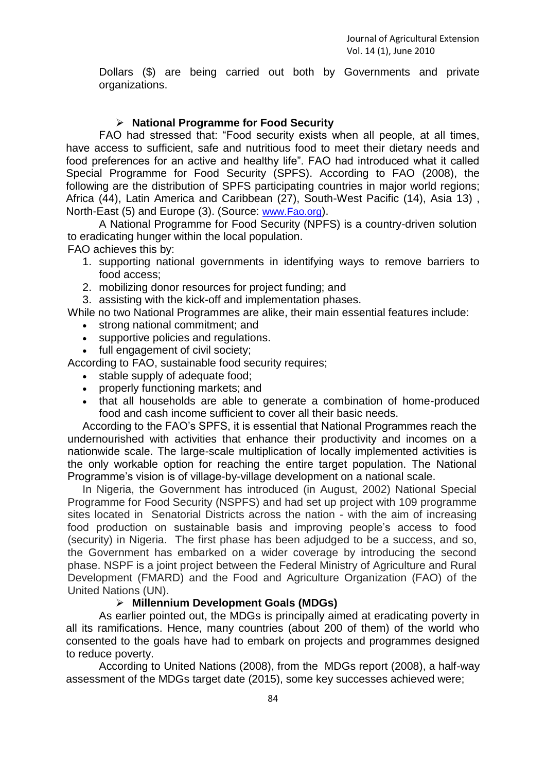Dollars (\$) are being carried out both by Governments and private organizations.

# **National Programme for Food Security**

FAO had stressed that: "Food security exists when all people, at all times, have access to sufficient, safe and nutritious food to meet their dietary needs and food preferences for an active and healthy life". FAO had introduced what it called Special Programme for Food Security (SPFS). According to FAO (2008), the following are the distribution of SPFS participating countries in major world regions: Africa (44), Latin America and Caribbean (27), South-West Pacific (14), Asia 13) , North-East (5) and Europe (3). (Source: [www.Fao.org](http://www.fao.org/)).

A National Programme for Food Security (NPFS) is a country-driven solution to eradicating hunger within the local population.

FAO achieves this by:

- 1. supporting national governments in identifying ways to remove barriers to food access;
- 2. mobilizing donor resources for project funding; and
- 3. assisting with the kick-off and implementation phases.

While no two National Programmes are alike, their main essential features include:

- strong national commitment; and
- supportive policies and regulations.
- full engagement of civil society;

According to FAO, sustainable food security requires;

- stable supply of adequate food;
- properly functioning markets; and
- that all households are able to generate a combination of home-produced food and cash income sufficient to cover all their basic needs.

According to the FAO's SPFS, it is essential that National Programmes reach the undernourished with activities that enhance their productivity and incomes on a nationwide scale. The large-scale multiplication of locally implemented activities is the only workable option for reaching the entire target population. The National Programme's vision is of village-by-village development on a national scale.

In Nigeria, the Government has introduced (in August, 2002) National Special Programme for Food Security (NSPFS) and had set up project with 109 programme sites located in Senatorial Districts across the nation - with the aim of increasing food production on sustainable basis and improving people's access to food (security) in Nigeria. The first phase has been adjudged to be a success, and so, the Government has embarked on a wider coverage by introducing the second phase. NSPF is a joint project between the Federal Ministry of Agriculture and Rural Development (FMARD) and the Food and Agriculture Organization (FAO) of the United Nations (UN).

## **Millennium Development Goals (MDGs)**

As earlier pointed out, the MDGs is principally aimed at eradicating poverty in all its ramifications. Hence, many countries (about 200 of them) of the world who consented to the goals have had to embark on projects and programmes designed to reduce poverty.

According to United Nations (2008), from the MDGs report (2008), a half-way assessment of the MDGs target date (2015), some key successes achieved were: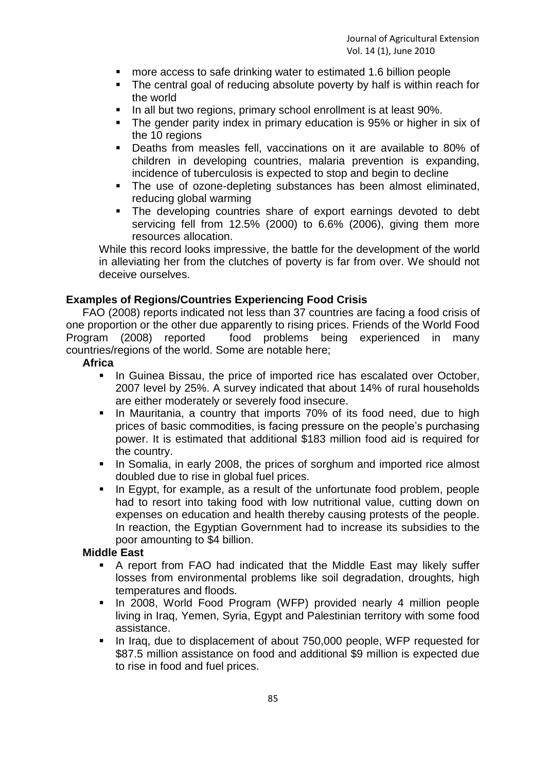- more access to safe drinking water to estimated 1.6 billion people
- The central goal of reducing absolute poverty by half is within reach for the world
- In all but two regions, primary school enrollment is at least 90%.
- The gender parity index in primary education is 95% or higher in six of the 10 regions
- Deaths from measles fell, vaccinations on it are available to 80% of children in developing countries, malaria prevention is expanding, incidence of tuberculosis is expected to stop and begin to decline
- The use of ozone-depleting substances has been almost eliminated, reducing global warming
- The developing countries share of export earnings devoted to debt servicing fell from 12.5% (2000) to 6.6% (2006), giving them more resources allocation.

While this record looks impressive, the battle for the development of the world in alleviating her from the clutches of poverty is far from over. We should not deceive ourselves.

# **Examples of Regions/Countries Experiencing Food Crisis**

FAO (2008) reports indicated not less than 37 countries are facing a food crisis of one proportion or the other due apparently to rising prices. Friends of the World Food Program (2008) reported food problems being experienced in many countries/regions of the world. Some are notable here;

#### **Africa**

- **In Guinea Bissau, the price of imported rice has escalated over October,** 2007 level by 25%. A survey indicated that about 14% of rural households are either moderately or severely food insecure.
- In Mauritania, a country that imports 70% of its food need, due to high prices of basic commodities, is facing pressure on the people's purchasing power. It is estimated that additional \$183 million food aid is required for the country.
- In Somalia, in early 2008, the prices of sorghum and imported rice almost doubled due to rise in global fuel prices.
- In Egypt, for example, as a result of the unfortunate food problem, people had to resort into taking food with low nutritional value, cutting down on expenses on education and health thereby causing protests of the people. In reaction, the Egyptian Government had to increase its subsidies to the poor amounting to \$4 billion.

## **Middle East**

- A report from FAO had indicated that the Middle East may likely suffer losses from environmental problems like soil degradation, droughts, high temperatures and floods.
- In 2008, World Food Program (WFP) provided nearly 4 million people living in Iraq, Yemen, Syria, Egypt and Palestinian territory with some food assistance.
- In Iraq, due to displacement of about 750,000 people, WFP requested for \$87.5 million assistance on food and additional \$9 million is expected due to rise in food and fuel prices.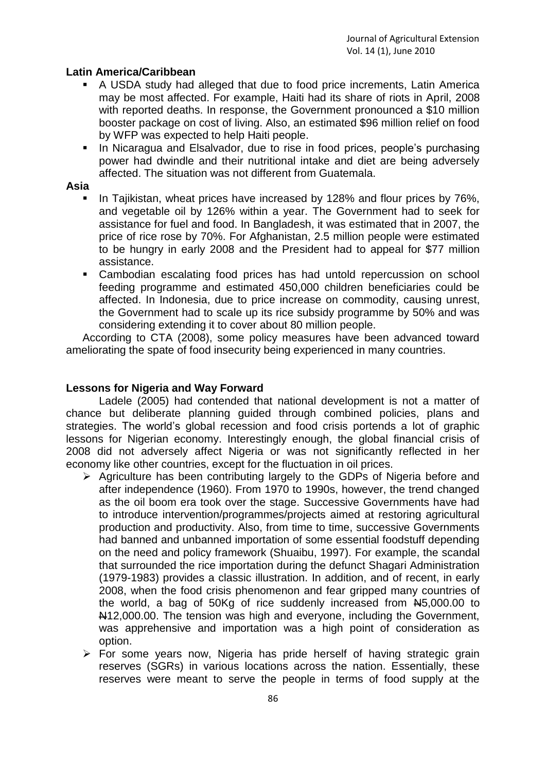# **Latin America/Caribbean**

- A USDA study had alleged that due to food price increments, Latin America may be most affected. For example, Haiti had its share of riots in April, 2008 with reported deaths. In response, the Government pronounced a \$10 million booster package on cost of living. Also, an estimated \$96 million relief on food by WFP was expected to help Haiti people.
- In Nicaragua and Elsalvador, due to rise in food prices, people's purchasing power had dwindle and their nutritional intake and diet are being adversely affected. The situation was not different from Guatemala.

# **Asia**

- In Tajikistan, wheat prices have increased by 128% and flour prices by 76%, and vegetable oil by 126% within a year. The Government had to seek for assistance for fuel and food. In Bangladesh, it was estimated that in 2007, the price of rice rose by 70%. For Afghanistan, 2.5 million people were estimated to be hungry in early 2008 and the President had to appeal for \$77 million assistance.
- Cambodian escalating food prices has had untold repercussion on school feeding programme and estimated 450,000 children beneficiaries could be affected. In Indonesia, due to price increase on commodity, causing unrest, the Government had to scale up its rice subsidy programme by 50% and was considering extending it to cover about 80 million people.

According to CTA (2008), some policy measures have been advanced toward ameliorating the spate of food insecurity being experienced in many countries.

# **Lessons for Nigeria and Way Forward**

Ladele (2005) had contended that national development is not a matter of chance but deliberate planning guided through combined policies, plans and strategies. The world's global recession and food crisis portends a lot of graphic lessons for Nigerian economy. Interestingly enough, the global financial crisis of 2008 did not adversely affect Nigeria or was not significantly reflected in her economy like other countries, except for the fluctuation in oil prices.

- $\triangleright$  Agriculture has been contributing largely to the GDPs of Nigeria before and after independence (1960). From 1970 to 1990s, however, the trend changed as the oil boom era took over the stage. Successive Governments have had to introduce intervention/programmes/projects aimed at restoring agricultural production and productivity. Also, from time to time, successive Governments had banned and unbanned importation of some essential foodstuff depending on the need and policy framework (Shuaibu, 1997). For example, the scandal that surrounded the rice importation during the defunct Shagari Administration (1979-1983) provides a classic illustration. In addition, and of recent, in early 2008, when the food crisis phenomenon and fear gripped many countries of the world, a bag of 50Kg of rice suddenly increased from  $\mu$ 5,000.00 to N12,000.00. The tension was high and everyone, including the Government, was apprehensive and importation was a high point of consideration as option.
- $\triangleright$  For some years now, Nigeria has pride herself of having strategic grain reserves (SGRs) in various locations across the nation. Essentially, these reserves were meant to serve the people in terms of food supply at the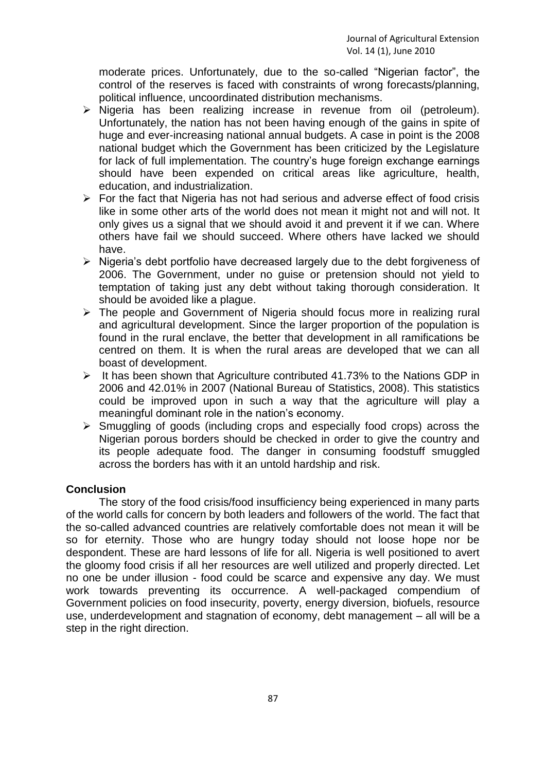moderate prices. Unfortunately, due to the so-called "Nigerian factor", the control of the reserves is faced with constraints of wrong forecasts/planning, political influence, uncoordinated distribution mechanisms.

- $\triangleright$  Nigeria has been realizing increase in revenue from oil (petroleum). Unfortunately, the nation has not been having enough of the gains in spite of huge and ever-increasing national annual budgets. A case in point is the 2008 national budget which the Government has been criticized by the Legislature for lack of full implementation. The country's huge foreign exchange earnings should have been expended on critical areas like agriculture, health, education, and industrialization.
- $\triangleright$  For the fact that Nigeria has not had serious and adverse effect of food crisis like in some other arts of the world does not mean it might not and will not. It only gives us a signal that we should avoid it and prevent it if we can. Where others have fail we should succeed. Where others have lacked we should have.
- $\triangleright$  Nigeria's debt portfolio have decreased largely due to the debt forgiveness of 2006. The Government, under no guise or pretension should not yield to temptation of taking just any debt without taking thorough consideration. It should be avoided like a plague.
- $\triangleright$  The people and Government of Nigeria should focus more in realizing rural and agricultural development. Since the larger proportion of the population is found in the rural enclave, the better that development in all ramifications be centred on them. It is when the rural areas are developed that we can all boast of development.
- $\triangleright$  It has been shown that Agriculture contributed 41.73% to the Nations GDP in 2006 and 42.01% in 2007 (National Bureau of Statistics, 2008). This statistics could be improved upon in such a way that the agriculture will play a meaningful dominant role in the nation's economy.
- $\triangleright$  Smuggling of goods (including crops and especially food crops) across the Nigerian porous borders should be checked in order to give the country and its people adequate food. The danger in consuming foodstuff smuggled across the borders has with it an untold hardship and risk.

# **Conclusion**

The story of the food crisis/food insufficiency being experienced in many parts of the world calls for concern by both leaders and followers of the world. The fact that the so-called advanced countries are relatively comfortable does not mean it will be so for eternity. Those who are hungry today should not loose hope nor be despondent. These are hard lessons of life for all. Nigeria is well positioned to avert the gloomy food crisis if all her resources are well utilized and properly directed. Let no one be under illusion - food could be scarce and expensive any day. We must work towards preventing its occurrence. A well-packaged compendium of Government policies on food insecurity, poverty, energy diversion, biofuels, resource use, underdevelopment and stagnation of economy, debt management – all will be a step in the right direction.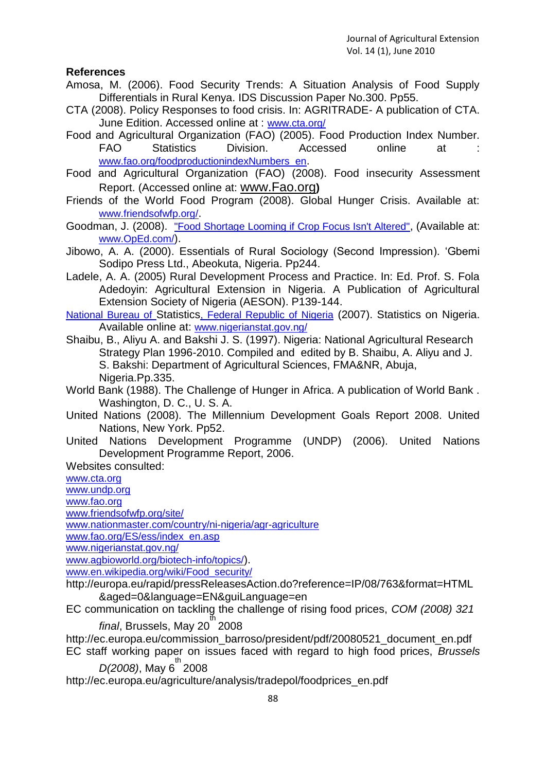# **References**

- Amosa, M. (2006). Food Security Trends: A Situation Analysis of Food Supply Differentials in Rural Kenya. IDS Discussion Paper No.300. Pp55.
- CTA (2008). Policy Responses to food crisis. In: AGRITRADE- A publication of CTA. June Edition. Accessed online at : [www.cta.org/](http://www.cta.org/)
- Food and Agricultural Organization (FAO) (2005). Food Production Index Number. FAO Statistics Division. Accessed online at : [www.fao.org/foodproductionindexNumbers\\_en](http://www.fao.org/foodproductionindexNumbers_en).
- Food and Agricultural Organization (FAO) (2008). Food insecurity Assessment Report. (Accessed online at: [www.Fao.org](http://www.fao.org/)**)**
- Friends of the World Food Program (2008). Global Hunger Crisis. Available at: [www.friendsofwfp.org/](http://www.friendsofwfp.org/).
- Goodman, J. (2008). ["Food Shortage Looming if Crop Focus Isn't Altered"](http://www.opednews.com/articles/opedne_jim_good_080424_food_shortage_loomin.htm), (Available at: [www.OpEd.com/](http://www.oped.com/)).
- Jibowo, A. A. (2000). Essentials of Rural Sociology (Second Impression). 'Gbemi Sodipo Press Ltd., Abeokuta, Nigeria. Pp244.
- Ladele, A. A. (2005) Rural Development Process and Practice. In: Ed. Prof. S. Fola Adedoyin: Agricultural Extension in Nigeria. A Publication of Agricultural Extension Society of Nigeria (AESON). P139-144.
- National Bureau of Statistics[, Federal Republic of Nigeria](http://www.nigerianstat.gov.ng/) (2007). Statistics on Nigeria. Available online at: [www.nigerianstat.gov.ng/](http://www.nigerianstat.gov.ng/)
- Shaibu, B., Aliyu A. and Bakshi J. S. (1997). Nigeria: National Agricultural Research Strategy Plan 1996-2010. Compiled and edited by B. Shaibu, A. Aliyu and J. S. Bakshi: Department of Agricultural Sciences, FMA&NR, Abuja, Nigeria.Pp.335.
- World Bank (1988). The Challenge of Hunger in Africa. A publication of World Bank . Washington, D. C., U. S. A.
- United Nations (2008). The Millennium Development Goals Report 2008. United Nations, New York. Pp52.
- United Nations Development Programme (UNDP) (2006). United Nations Development Programme Report, 2006.

Websites consulted:

[www.cta.org](http://www.cta.org/)

[www.undp.org](http://www.undp.org/)

[www.fao.org](http://www.fao.org/)

[www.friendsofwfp.org/site/](http://www.friendsofwfp.org/site/)

[www.nationmaster.com/country/ni-nigeria/agr-agriculture](http://www.nationmaster.com/country/ni-nigeria/agr-agriculture)

[www.fao.org/ES/ess/index\\_en.asp](http://www.fao.org/ES/ess/index_en.asp)

[www.nigerianstat.gov.ng/](http://www.nigerianstat.gov.ng/)

[www.agbioworld.org/biotech-info/topics/](http://www.agbioworld.org/biotech-info/topics/)).

[www.en.wikipedia.org/wiki/Food\\_security/](http://www.en.wikipedia.org/wiki/Food_security/)

- http://europa.eu/rapid/pressReleasesAction.do?reference=IP/08/763&format=HTML &aged=0&language=EN&guiLanguage=en
- EC communication on tackling the challenge of rising food prices, *COM (2008) 321*  final, Brussels, May 20<sup>th</sup> 2008
- http://ec.europa.eu/commission\_barroso/president/pdf/20080521\_document\_en.pdf EC staff working paper on issues faced with regard to high food prices, *Brussels*

*D(2008)*, May 6<sup>th</sup> 2008

http://ec.europa.eu/agriculture/analysis/tradepol/foodprices\_en.pdf